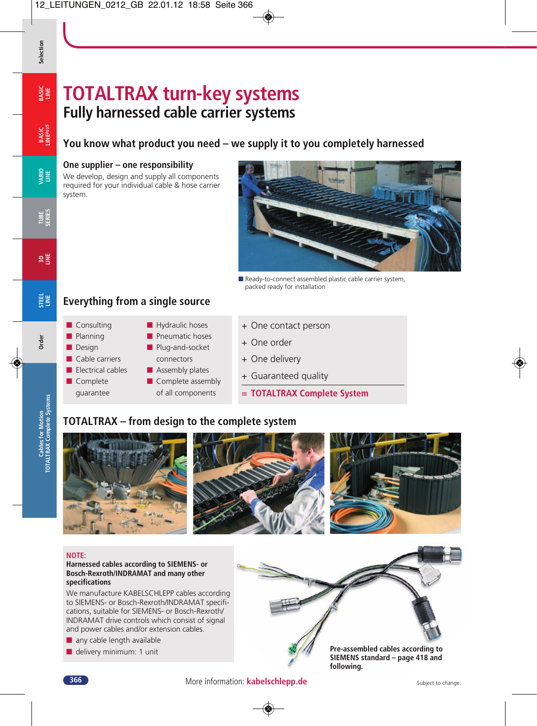# **TOTALTRAX turn-key systems Fully harnessed cable carrier systems**

**VARIO LINE**

**TUBE SERIES**

**3D LINE**

**Order**

**Cables for Motion TOTALTRAX Complete Systems**

Cables for Motion<br>COTALTRAX Complete Systems

**BASIC LINE**

**Selection**

# **You know what product you need – we supply it to you completely harnessed**

#### **One supplier – one responsibility**

We develop, design and supply all components required for your individual cable & hose carrier system.



■ Ready-to-connect assembled plastic cable carrier system, packed ready for installation

#### **STEEL LINE Everything from a single source**



- + One contact person
- + One order
- + One delivery
- + Guaranteed quality
- **= TOTALTRAX Complete System**

## **TOTALTRAX – from design to the complete system**



#### **NOTE:**

#### **Harnessed cables according to SIEMENS- or Bosch-Rexroth/INDRAMAT and many other specifications**

We manufacture KABELSCHLEPP cables according to SIEMENS- or Bosch-Rexroth/INDRAMAT specifications, suitable for SIEMENS- or Bosch-Rexroth/ INDRAMAT drive controls which consist of signal and power cables and/or extension cables.

- any cable length available
- delivery minimum: 1 unit



**SIEMENS standard – page 418 and following.**